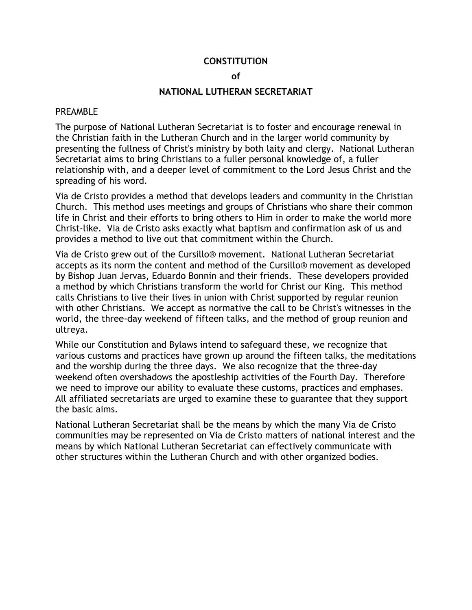#### **CONSTITUTION**

#### **of**

#### **NATIONAL LUTHERAN SECRETARIAT**

#### PREAMBLE

The purpose of National Lutheran Secretariat is to foster and encourage renewal in the Christian faith in the Lutheran Church and in the larger world community by presenting the fullness of Christ's ministry by both laity and clergy. National Lutheran Secretariat aims to bring Christians to a fuller personal knowledge of, a fuller relationship with, and a deeper level of commitment to the Lord Jesus Christ and the spreading of his word.

Via de Cristo provides a method that develops leaders and community in the Christian Church. This method uses meetings and groups of Christians who share their common life in Christ and their efforts to bring others to Him in order to make the world more Christ-like. Via de Cristo asks exactly what baptism and confirmation ask of us and provides a method to live out that commitment within the Church.

Via de Cristo grew out of the Cursillo® movement. National Lutheran Secretariat accepts as its norm the content and method of the Cursillo® movement as developed by Bishop Juan Jervas, Eduardo Bonnin and their friends. These developers provided a method by which Christians transform the world for Christ our King. This method calls Christians to live their lives in union with Christ supported by regular reunion with other Christians. We accept as normative the call to be Christ's witnesses in the world, the three-day weekend of fifteen talks, and the method of group reunion and ultreya.

While our Constitution and Bylaws intend to safeguard these, we recognize that various customs and practices have grown up around the fifteen talks, the meditations and the worship during the three days. We also recognize that the three-day weekend often overshadows the apostleship activities of the Fourth Day. Therefore we need to improve our ability to evaluate these customs, practices and emphases. All affiliated secretariats are urged to examine these to guarantee that they support the basic aims.

National Lutheran Secretariat shall be the means by which the many Via de Cristo communities may be represented on Via de Cristo matters of national interest and the means by which National Lutheran Secretariat can effectively communicate with other structures within the Lutheran Church and with other organized bodies.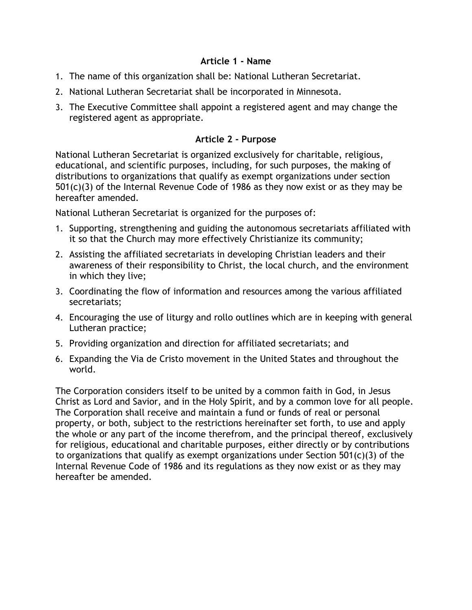### **Article 1 - Name**

- 1. The name of this organization shall be: National Lutheran Secretariat.
- 2. National Lutheran Secretariat shall be incorporated in Minnesota.
- 3. The Executive Committee shall appoint a registered agent and may change the registered agent as appropriate.

### **Article 2 - Purpose**

National Lutheran Secretariat is organized exclusively for charitable, religious, educational, and scientific purposes, including, for such purposes, the making of distributions to organizations that qualify as exempt organizations under section 501(c)(3) of the Internal Revenue Code of 1986 as they now exist or as they may be hereafter amended.

National Lutheran Secretariat is organized for the purposes of:

- 1. Supporting, strengthening and guiding the autonomous secretariats affiliated with it so that the Church may more effectively Christianize its community;
- 2. Assisting the affiliated secretariats in developing Christian leaders and their awareness of their responsibility to Christ, the local church, and the environment in which they live;
- 3. Coordinating the flow of information and resources among the various affiliated secretariats;
- 4. Encouraging the use of liturgy and rollo outlines which are in keeping with general Lutheran practice;
- 5. Providing organization and direction for affiliated secretariats; and
- 6. Expanding the Via de Cristo movement in the United States and throughout the world.

The Corporation considers itself to be united by a common faith in God, in Jesus Christ as Lord and Savior, and in the Holy Spirit, and by a common love for all people. The Corporation shall receive and maintain a fund or funds of real or personal property, or both, subject to the restrictions hereinafter set forth, to use and apply the whole or any part of the income therefrom, and the principal thereof, exclusively for religious, educational and charitable purposes, either directly or by contributions to organizations that qualify as exempt organizations under Section 501(c)(3) of the Internal Revenue Code of 1986 and its regulations as they now exist or as they may hereafter be amended.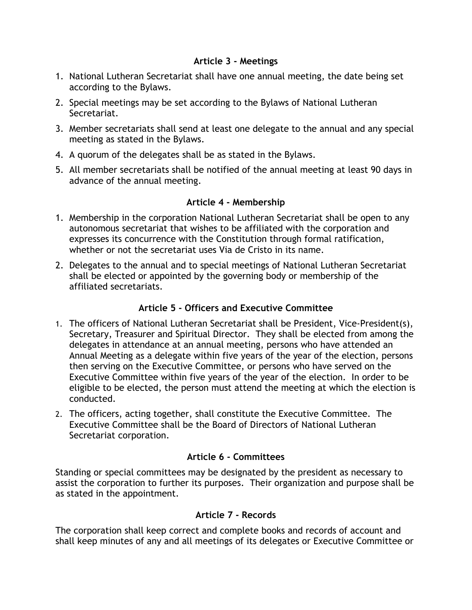### **Article 3 - Meetings**

- 1. National Lutheran Secretariat shall have one annual meeting, the date being set according to the Bylaws.
- 2. Special meetings may be set according to the Bylaws of National Lutheran Secretariat.
- 3. Member secretariats shall send at least one delegate to the annual and any special meeting as stated in the Bylaws.
- 4. A quorum of the delegates shall be as stated in the Bylaws.
- 5. All member secretariats shall be notified of the annual meeting at least 90 days in advance of the annual meeting.

## **Article 4 - Membership**

- 1. Membership in the corporation National Lutheran Secretariat shall be open to any autonomous secretariat that wishes to be affiliated with the corporation and expresses its concurrence with the Constitution through formal ratification, whether or not the secretariat uses Via de Cristo in its name.
- 2. Delegates to the annual and to special meetings of National Lutheran Secretariat shall be elected or appointed by the governing body or membership of the affiliated secretariats.

# **Article 5 - Officers and Executive Committee**

- 1. The officers of National Lutheran Secretariat shall be President, Vice-President(s), Secretary, Treasurer and Spiritual Director. They shall be elected from among the delegates in attendance at an annual meeting, persons who have attended an Annual Meeting as a delegate within five years of the year of the election, persons then serving on the Executive Committee, or persons who have served on the Executive Committee within five years of the year of the election. In order to be eligible to be elected, the person must attend the meeting at which the election is conducted.
- 2. The officers, acting together, shall constitute the Executive Committee. The Executive Committee shall be the Board of Directors of National Lutheran Secretariat corporation.

# **Article 6 - Committees**

Standing or special committees may be designated by the president as necessary to assist the corporation to further its purposes. Their organization and purpose shall be as stated in the appointment.

# **Article 7 - Records**

The corporation shall keep correct and complete books and records of account and shall keep minutes of any and all meetings of its delegates or Executive Committee or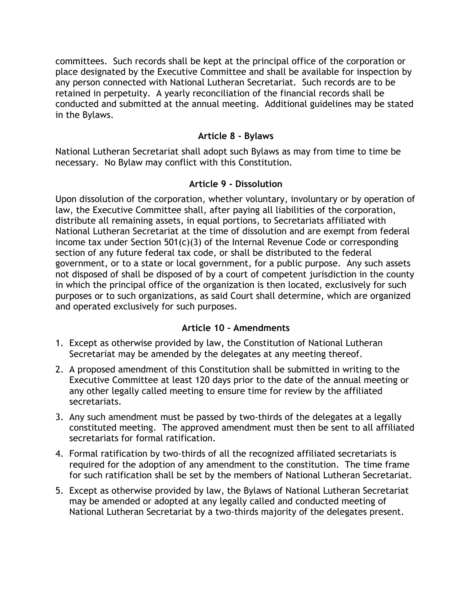committees. Such records shall be kept at the principal office of the corporation or place designated by the Executive Committee and shall be available for inspection by any person connected with National Lutheran Secretariat. Such records are to be retained in perpetuity. A yearly reconciliation of the financial records shall be conducted and submitted at the annual meeting. Additional guidelines may be stated in the Bylaws.

### **Article 8 - Bylaws**

National Lutheran Secretariat shall adopt such Bylaws as may from time to time be necessary. No Bylaw may conflict with this Constitution.

### **Article 9 - Dissolution**

Upon dissolution of the corporation, whether voluntary, involuntary or by operation of law, the Executive Committee shall, after paying all liabilities of the corporation, distribute all remaining assets, in equal portions, to Secretariats affiliated with National Lutheran Secretariat at the time of dissolution and are exempt from federal income tax under Section 501(c)(3) of the Internal Revenue Code or corresponding section of any future federal tax code, or shall be distributed to the federal government, or to a state or local government, for a public purpose. Any such assets not disposed of shall be disposed of by a court of competent jurisdiction in the county in which the principal office of the organization is then located, exclusively for such purposes or to such organizations, as said Court shall determine, which are organized and operated exclusively for such purposes.

### **Article 10 - Amendments**

- 1. Except as otherwise provided by law, the Constitution of National Lutheran Secretariat may be amended by the delegates at any meeting thereof.
- 2. A proposed amendment of this Constitution shall be submitted in writing to the Executive Committee at least 120 days prior to the date of the annual meeting or any other legally called meeting to ensure time for review by the affiliated secretariats.
- 3. Any such amendment must be passed by two-thirds of the delegates at a legally constituted meeting. The approved amendment must then be sent to all affiliated secretariats for formal ratification.
- 4. Formal ratification by two-thirds of all the recognized affiliated secretariats is required for the adoption of any amendment to the constitution. The time frame for such ratification shall be set by the members of National Lutheran Secretariat.
- 5. Except as otherwise provided by law, the Bylaws of National Lutheran Secretariat may be amended or adopted at any legally called and conducted meeting of National Lutheran Secretariat by a two-thirds majority of the delegates present.